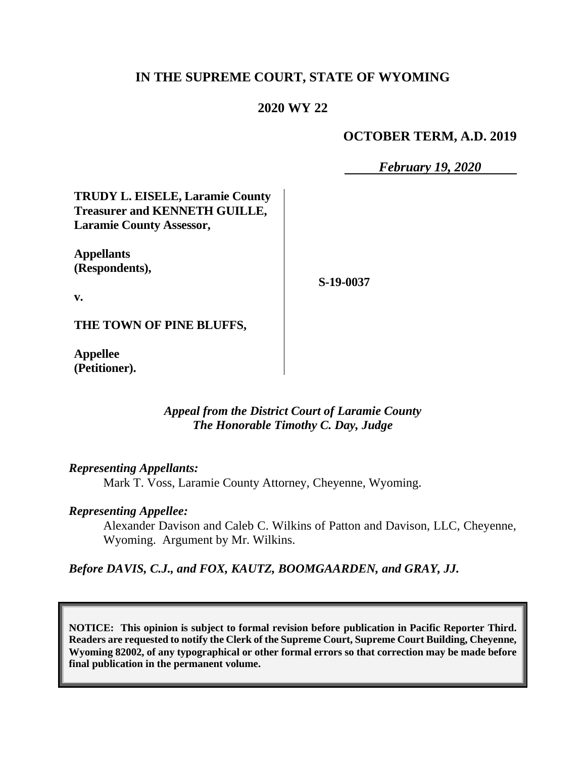## **IN THE SUPREME COURT, STATE OF WYOMING**

# **2020 WY 22**

#### **OCTOBER TERM, A.D. 2019**

*February 19, 2020*

**TRUDY L. EISELE, Laramie County Treasurer and KENNETH GUILLE, Laramie County Assessor,**

**Appellants (Respondents),**

**S-19-0037**

**v.**

**THE TOWN OF PINE BLUFFS,**

**Appellee (Petitioner).**

> *Appeal from the District Court of Laramie County The Honorable Timothy C. Day, Judge*

*Representing Appellants:*

Mark T. Voss, Laramie County Attorney, Cheyenne, Wyoming.

#### *Representing Appellee:*

Alexander Davison and Caleb C. Wilkins of Patton and Davison, LLC, Cheyenne, Wyoming. Argument by Mr. Wilkins.

*Before DAVIS, C.J., and FOX, KAUTZ, BOOMGAARDEN, and GRAY, JJ.*

**NOTICE: This opinion is subject to formal revision before publication in Pacific Reporter Third. Readers are requested to notify the Clerk of the Supreme Court, Supreme Court Building, Cheyenne, Wyoming 82002, of any typographical or other formal errors so that correction may be made before final publication in the permanent volume.**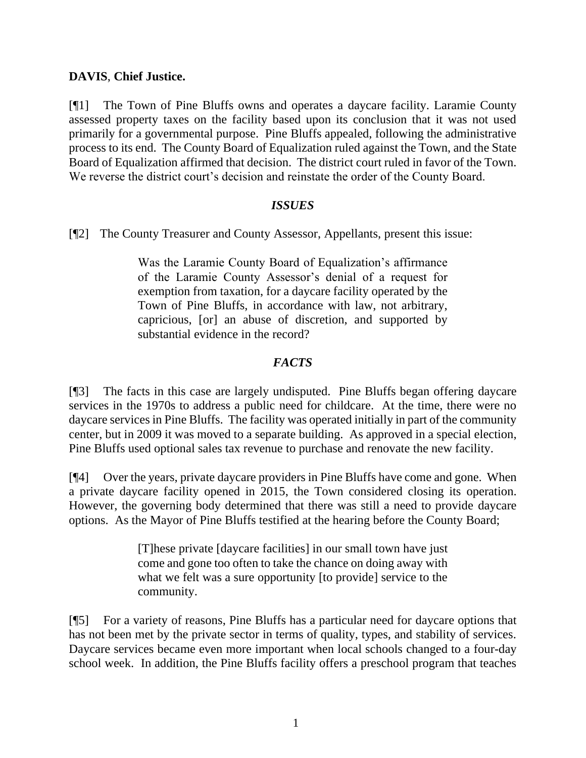## **DAVIS**, **Chief Justice.**

[¶1] The Town of Pine Bluffs owns and operates a daycare facility. Laramie County assessed property taxes on the facility based upon its conclusion that it was not used primarily for a governmental purpose. Pine Bluffs appealed, following the administrative process to its end. The County Board of Equalization ruled against the Town, and the State Board of Equalization affirmed that decision. The district court ruled in favor of the Town. We reverse the district court's decision and reinstate the order of the County Board.

#### *ISSUES*

[¶2] The County Treasurer and County Assessor, Appellants, present this issue:

Was the Laramie County Board of Equalization's affirmance of the Laramie County Assessor's denial of a request for exemption from taxation, for a daycare facility operated by the Town of Pine Bluffs, in accordance with law, not arbitrary, capricious, [or] an abuse of discretion, and supported by substantial evidence in the record?

### *FACTS*

[¶3] The facts in this case are largely undisputed. Pine Bluffs began offering daycare services in the 1970s to address a public need for childcare. At the time, there were no daycare services in Pine Bluffs. The facility was operated initially in part of the community center, but in 2009 it was moved to a separate building. As approved in a special election, Pine Bluffs used optional sales tax revenue to purchase and renovate the new facility.

[¶4] Over the years, private daycare providers in Pine Bluffs have come and gone. When a private daycare facility opened in 2015, the Town considered closing its operation. However, the governing body determined that there was still a need to provide daycare options. As the Mayor of Pine Bluffs testified at the hearing before the County Board;

> [T]hese private [daycare facilities] in our small town have just come and gone too often to take the chance on doing away with what we felt was a sure opportunity [to provide] service to the community.

[¶5] For a variety of reasons, Pine Bluffs has a particular need for daycare options that has not been met by the private sector in terms of quality, types, and stability of services. Daycare services became even more important when local schools changed to a four-day school week. In addition, the Pine Bluffs facility offers a preschool program that teaches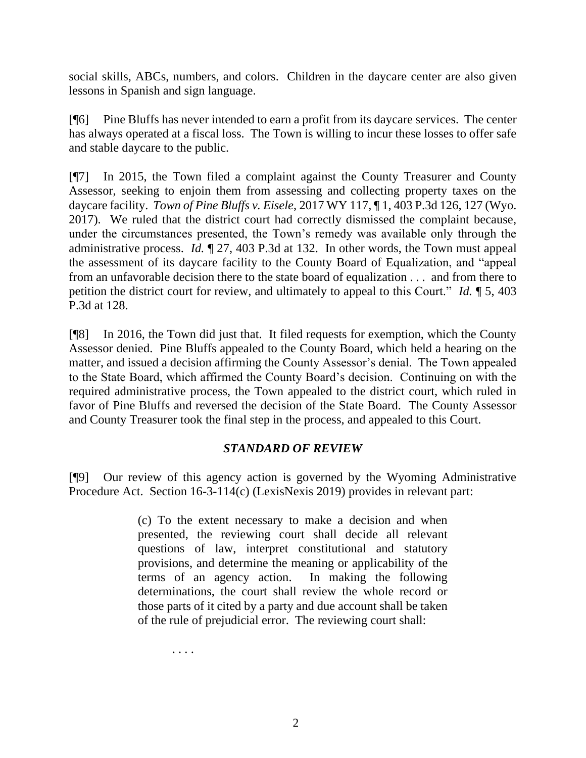social skills, ABCs, numbers, and colors. Children in the daycare center are also given lessons in Spanish and sign language.

[¶6] Pine Bluffs has never intended to earn a profit from its daycare services. The center has always operated at a fiscal loss. The Town is willing to incur these losses to offer safe and stable daycare to the public.

[¶7] In 2015, the Town filed a complaint against the County Treasurer and County Assessor, seeking to enjoin them from assessing and collecting property taxes on the daycare facility. *Town of Pine Bluffs v. Eisele*, 2017 WY 117, ¶ 1, 403 P.3d 126, 127 (Wyo. 2017). We ruled that the district court had correctly dismissed the complaint because, under the circumstances presented, the Town's remedy was available only through the administrative process. *Id.* ¶ 27, 403 P.3d at 132. In other words, the Town must appeal the assessment of its daycare facility to the County Board of Equalization, and "appeal from an unfavorable decision there to the state board of equalization . . . and from there to petition the district court for review, and ultimately to appeal to this Court." *Id.* ¶ 5, 403 P.3d at 128.

[¶8] In 2016, the Town did just that. It filed requests for exemption, which the County Assessor denied. Pine Bluffs appealed to the County Board, which held a hearing on the matter, and issued a decision affirming the County Assessor's denial. The Town appealed to the State Board, which affirmed the County Board's decision. Continuing on with the required administrative process, the Town appealed to the district court, which ruled in favor of Pine Bluffs and reversed the decision of the State Board. The County Assessor and County Treasurer took the final step in the process, and appealed to this Court.

### *STANDARD OF REVIEW*

[¶9] Our review of this agency action is governed by the Wyoming Administrative Procedure Act. Section 16-3-114(c) (LexisNexis 2019) provides in relevant part:

> (c) To the extent necessary to make a decision and when presented, the reviewing court shall decide all relevant questions of law, interpret constitutional and statutory provisions, and determine the meaning or applicability of the terms of an agency action. In making the following determinations, the court shall review the whole record or those parts of it cited by a party and due account shall be taken of the rule of prejudicial error. The reviewing court shall:

> > . . . .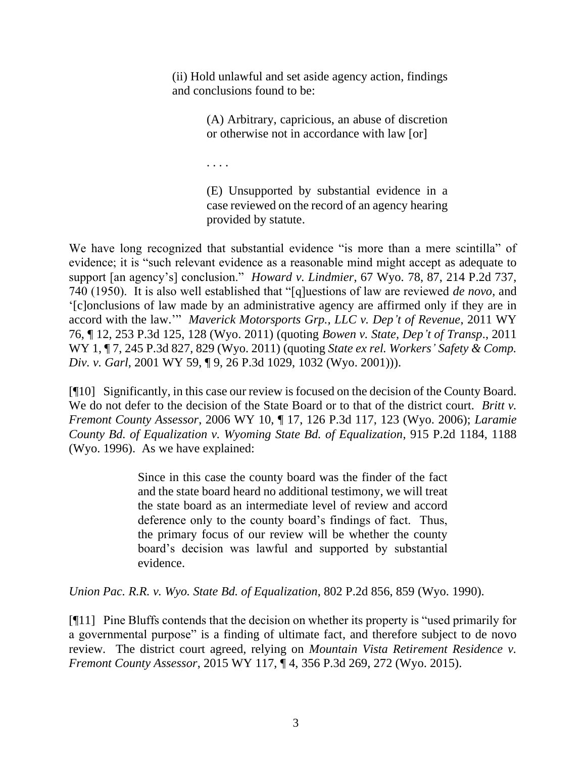(ii) Hold unlawful and set aside agency action, findings and conclusions found to be:

> (A) Arbitrary, capricious, an abuse of discretion or otherwise not in accordance with law [or]

. . . .

(E) Unsupported by substantial evidence in a case reviewed on the record of an agency hearing provided by statute.

We have long recognized that substantial evidence "is more than a mere scintilla" of evidence; it is "such relevant evidence as a reasonable mind might accept as adequate to support [an agency's] conclusion." *Howard v. Lindmier*, 67 Wyo. 78, 87, 214 P.2d 737, 740 (1950). It is also well established that "[q]uestions of law are reviewed *de novo*, and '[c]onclusions of law made by an administrative agency are affirmed only if they are in accord with the law.'" *Maverick Motorsports Grp., LLC v. Dep't of Revenue*, 2011 WY 76, ¶ 12, 253 P.3d 125, 128 (Wyo. 2011) (quoting *Bowen v. State, Dep't of Transp*., 2011 WY 1, ¶ 7, 245 P.3d 827, 829 (Wyo. 2011) (quoting *State ex rel. Workers' Safety & Comp. Div. v. Garl*, 2001 WY 59, ¶ 9, 26 P.3d 1029, 1032 (Wyo. 2001))).

[¶10] Significantly, in this case our review is focused on the decision of the County Board. We do not defer to the decision of the State Board or to that of the district court. *Britt v. Fremont County Assessor*, 2006 WY 10, ¶ 17, 126 P.3d 117, 123 (Wyo. 2006); *Laramie County Bd. of Equalization v. Wyoming State Bd. of Equalization*, 915 P.2d 1184, 1188 (Wyo. 1996). As we have explained:

> Since in this case the county board was the finder of the fact and the state board heard no additional testimony, we will treat the state board as an intermediate level of review and accord deference only to the county board's findings of fact. Thus, the primary focus of our review will be whether the county board's decision was lawful and supported by substantial evidence.

*Union Pac. R.R. v. Wyo. State Bd. of Equalization*, 802 P.2d 856, 859 (Wyo. 1990).

[¶11] Pine Bluffs contends that the decision on whether its property is "used primarily for a governmental purpose" is a finding of ultimate fact, and therefore subject to de novo review. The district court agreed, relying on *Mountain Vista Retirement Residence v. Fremont County Assessor*, 2015 WY 117, ¶ 4, 356 P.3d 269, 272 (Wyo. 2015).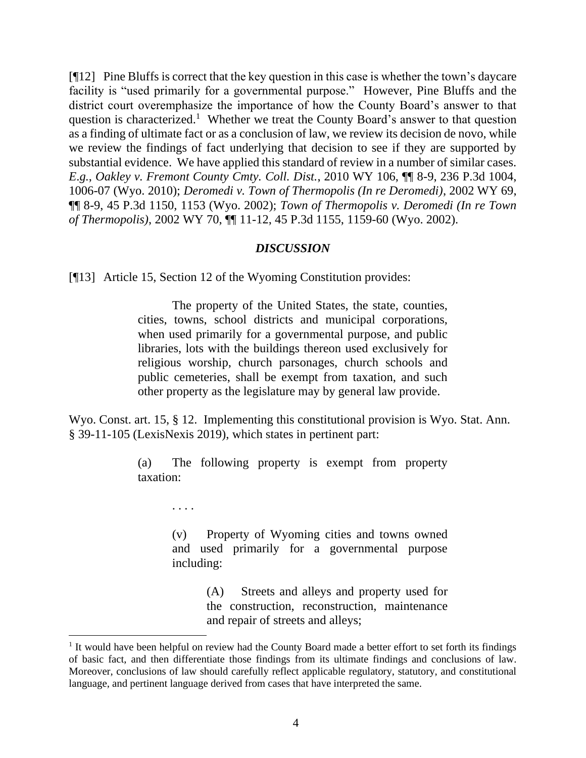[¶12] Pine Bluffs is correct that the key question in this case is whether the town's daycare facility is "used primarily for a governmental purpose." However, Pine Bluffs and the district court overemphasize the importance of how the County Board's answer to that question is characterized.<sup>1</sup> Whether we treat the County Board's answer to that question as a finding of ultimate fact or as a conclusion of law, we review its decision de novo, while we review the findings of fact underlying that decision to see if they are supported by substantial evidence. We have applied this standard of review in a number of similar cases. *E*.*g.*, *Oakley v. Fremont County Cmty. Coll. Dist.*, 2010 WY 106, ¶¶ 8-9, 236 P.3d 1004, 1006-07 (Wyo. 2010); *Deromedi v. Town of Thermopolis (In re Deromedi)*, 2002 WY 69, ¶¶ 8-9, 45 P.3d 1150, 1153 (Wyo. 2002); *Town of Thermopolis v. Deromedi (In re Town of Thermopolis)*, 2002 WY 70, ¶¶ 11-12, 45 P.3d 1155, 1159-60 (Wyo. 2002).

#### *DISCUSSION*

[¶13] Article 15, Section 12 of the Wyoming Constitution provides:

The property of the United States, the state, counties, cities, towns, school districts and municipal corporations, when used primarily for a governmental purpose, and public libraries, lots with the buildings thereon used exclusively for religious worship, church parsonages, church schools and public cemeteries, shall be exempt from taxation, and such other property as the legislature may by general law provide.

Wyo. Const. art. 15, § 12. Implementing this constitutional provision is Wyo. Stat. Ann. § 39-11-105 (LexisNexis 2019), which states in pertinent part:

> (a) The following property is exempt from property taxation:

> > . . . .

(v) Property of Wyoming cities and towns owned and used primarily for a governmental purpose including:

> (A) Streets and alleys and property used for the construction, reconstruction, maintenance and repair of streets and alleys;

<sup>&</sup>lt;sup>1</sup> It would have been helpful on review had the County Board made a better effort to set forth its findings of basic fact, and then differentiate those findings from its ultimate findings and conclusions of law. Moreover, conclusions of law should carefully reflect applicable regulatory, statutory, and constitutional language, and pertinent language derived from cases that have interpreted the same.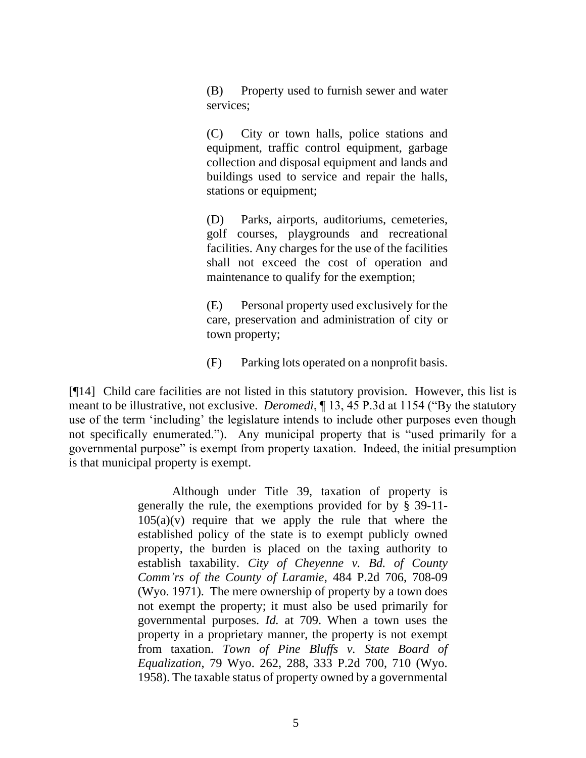(B) Property used to furnish sewer and water services;

(C) City or town halls, police stations and equipment, traffic control equipment, garbage collection and disposal equipment and lands and buildings used to service and repair the halls, stations or equipment;

(D) Parks, airports, auditoriums, cemeteries, golf courses, playgrounds and recreational facilities. Any charges for the use of the facilities shall not exceed the cost of operation and maintenance to qualify for the exemption;

(E) Personal property used exclusively for the care, preservation and administration of city or town property;

(F) Parking lots operated on a nonprofit basis.

[¶14] Child care facilities are not listed in this statutory provision. However, this list is meant to be illustrative, not exclusive. *Deromedi*, ¶ 13, 45 P.3d at 1154 ("By the statutory use of the term 'including' the legislature intends to include other purposes even though not specifically enumerated."). Any municipal property that is "used primarily for a governmental purpose" is exempt from property taxation. Indeed, the initial presumption is that municipal property is exempt.

> Although under Title 39, taxation of property is generally the rule, the exemptions provided for by § 39-11-  $105(a)(v)$  require that we apply the rule that where the established policy of the state is to exempt publicly owned property, the burden is placed on the taxing authority to establish taxability. *City of Cheyenne v. Bd. of County Comm'rs of the County of Laramie*, 484 P.2d 706, 708-09 (Wyo. 1971). The mere ownership of property by a town does not exempt the property; it must also be used primarily for governmental purposes. *Id.* at 709. When a town uses the property in a proprietary manner, the property is not exempt from taxation. *Town of Pine Bluffs v. State Board of Equalization*, 79 Wyo. 262, 288, 333 P.2d 700, 710 (Wyo. 1958). The taxable status of property owned by a governmental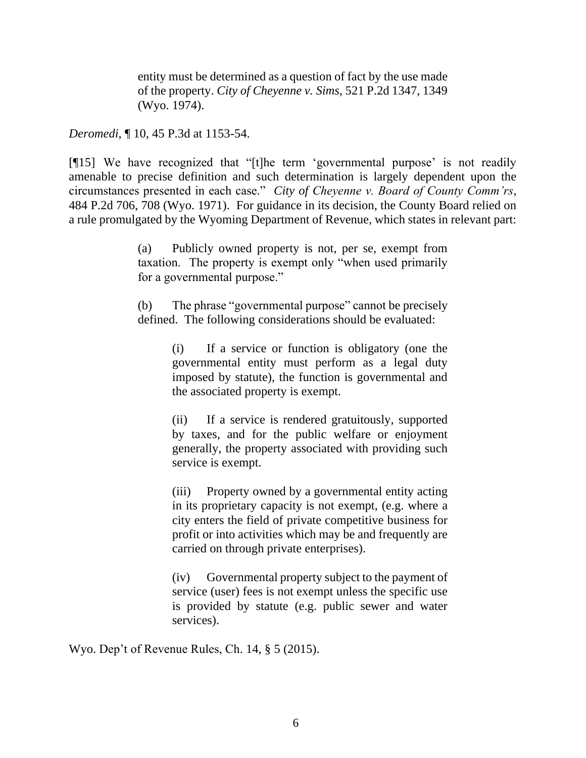entity must be determined as a question of fact by the use made of the property. *City of Cheyenne v. Sims*, 521 P.2d 1347, 1349 (Wyo. 1974).

*Deromedi*, ¶ 10, 45 P.3d at 1153-54.

[¶15] We have recognized that "[t]he term 'governmental purpose' is not readily amenable to precise definition and such determination is largely dependent upon the circumstances presented in each case." *City of Cheyenne v. Board of County Comm'rs*, 484 P.2d 706, 708 (Wyo. 1971). For guidance in its decision, the County Board relied on a rule promulgated by the Wyoming Department of Revenue, which states in relevant part:

> (a) Publicly owned property is not, per se, exempt from taxation. The property is exempt only "when used primarily for a governmental purpose."

> (b) The phrase "governmental purpose" cannot be precisely defined. The following considerations should be evaluated:

> > (i) If a service or function is obligatory (one the governmental entity must perform as a legal duty imposed by statute), the function is governmental and the associated property is exempt.

> > (ii) If a service is rendered gratuitously, supported by taxes, and for the public welfare or enjoyment generally, the property associated with providing such service is exempt.

> > (iii) Property owned by a governmental entity acting in its proprietary capacity is not exempt, (e.g. where a city enters the field of private competitive business for profit or into activities which may be and frequently are carried on through private enterprises).

> > (iv) Governmental property subject to the payment of service (user) fees is not exempt unless the specific use is provided by statute (e.g. public sewer and water services).

Wyo. Dep't of Revenue Rules, Ch. 14, § 5 (2015).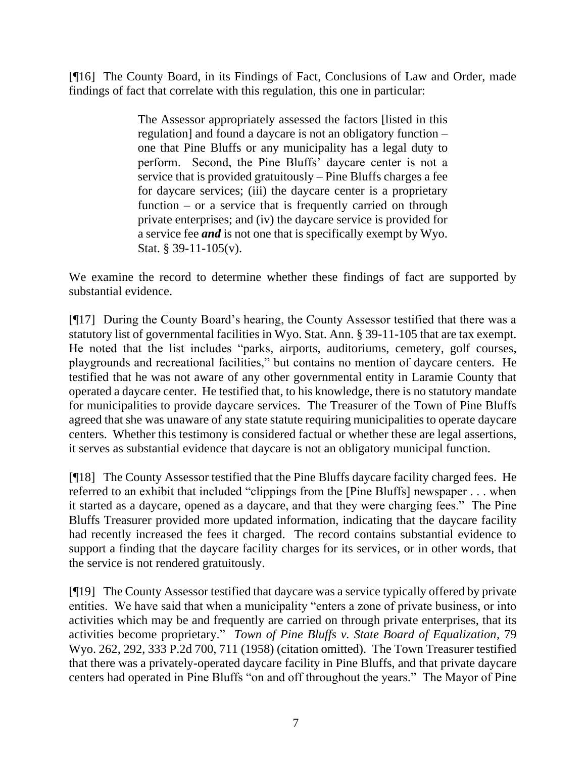[¶16] The County Board, in its Findings of Fact, Conclusions of Law and Order, made findings of fact that correlate with this regulation, this one in particular:

> The Assessor appropriately assessed the factors [listed in this regulation] and found a daycare is not an obligatory function – one that Pine Bluffs or any municipality has a legal duty to perform. Second, the Pine Bluffs' daycare center is not a service that is provided gratuitously – Pine Bluffs charges a fee for daycare services; (iii) the daycare center is a proprietary function – or a service that is frequently carried on through private enterprises; and (iv) the daycare service is provided for a service fee *and* is not one that is specifically exempt by Wyo. Stat. § 39-11-105(v).

We examine the record to determine whether these findings of fact are supported by substantial evidence.

[¶17] During the County Board's hearing, the County Assessor testified that there was a statutory list of governmental facilities in Wyo. Stat. Ann. § 39-11-105 that are tax exempt. He noted that the list includes "parks, airports, auditoriums, cemetery, golf courses, playgrounds and recreational facilities," but contains no mention of daycare centers. He testified that he was not aware of any other governmental entity in Laramie County that operated a daycare center. He testified that, to his knowledge, there is no statutory mandate for municipalities to provide daycare services. The Treasurer of the Town of Pine Bluffs agreed that she was unaware of any state statute requiring municipalities to operate daycare centers. Whether this testimony is considered factual or whether these are legal assertions, it serves as substantial evidence that daycare is not an obligatory municipal function.

[¶18] The County Assessor testified that the Pine Bluffs daycare facility charged fees. He referred to an exhibit that included "clippings from the [Pine Bluffs] newspaper . . . when it started as a daycare, opened as a daycare, and that they were charging fees." The Pine Bluffs Treasurer provided more updated information, indicating that the daycare facility had recently increased the fees it charged. The record contains substantial evidence to support a finding that the daycare facility charges for its services, or in other words, that the service is not rendered gratuitously.

[¶19] The County Assessor testified that daycare was a service typically offered by private entities. We have said that when a municipality "enters a zone of private business, or into activities which may be and frequently are carried on through private enterprises, that its activities become proprietary." *Town of Pine Bluffs v. State Board of Equalization*, 79 Wyo. 262, 292, 333 P.2d 700, 711 (1958) (citation omitted). The Town Treasurer testified that there was a privately-operated daycare facility in Pine Bluffs, and that private daycare centers had operated in Pine Bluffs "on and off throughout the years." The Mayor of Pine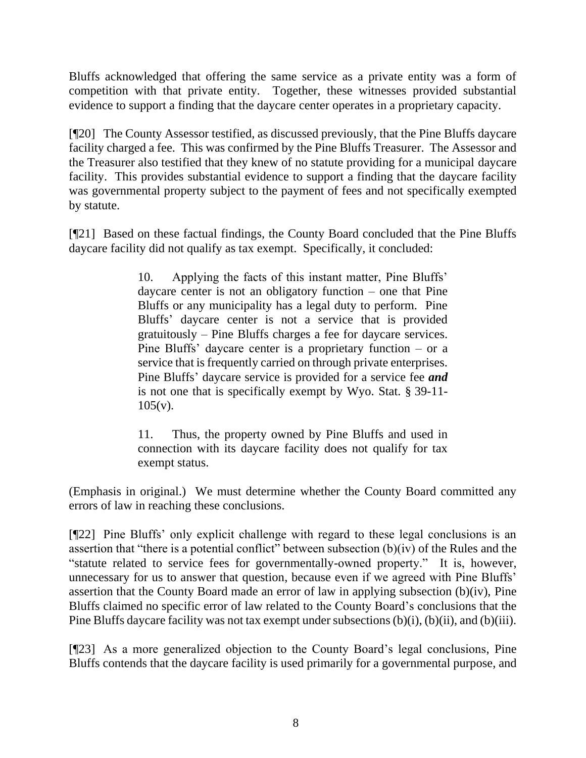Bluffs acknowledged that offering the same service as a private entity was a form of competition with that private entity. Together, these witnesses provided substantial evidence to support a finding that the daycare center operates in a proprietary capacity.

[¶20] The County Assessor testified, as discussed previously, that the Pine Bluffs daycare facility charged a fee. This was confirmed by the Pine Bluffs Treasurer. The Assessor and the Treasurer also testified that they knew of no statute providing for a municipal daycare facility. This provides substantial evidence to support a finding that the daycare facility was governmental property subject to the payment of fees and not specifically exempted by statute.

[¶21] Based on these factual findings, the County Board concluded that the Pine Bluffs daycare facility did not qualify as tax exempt. Specifically, it concluded:

> 10. Applying the facts of this instant matter, Pine Bluffs' daycare center is not an obligatory function – one that Pine Bluffs or any municipality has a legal duty to perform. Pine Bluffs' daycare center is not a service that is provided gratuitously – Pine Bluffs charges a fee for daycare services. Pine Bluffs' daycare center is a proprietary function – or a service that is frequently carried on through private enterprises. Pine Bluffs' daycare service is provided for a service fee *and* is not one that is specifically exempt by Wyo. Stat. § 39-11-  $105(v)$ .

> 11. Thus, the property owned by Pine Bluffs and used in connection with its daycare facility does not qualify for tax exempt status.

(Emphasis in original.) We must determine whether the County Board committed any errors of law in reaching these conclusions.

[¶22] Pine Bluffs' only explicit challenge with regard to these legal conclusions is an assertion that "there is a potential conflict" between subsection (b)(iv) of the Rules and the "statute related to service fees for governmentally-owned property." It is, however, unnecessary for us to answer that question, because even if we agreed with Pine Bluffs' assertion that the County Board made an error of law in applying subsection (b)(iv), Pine Bluffs claimed no specific error of law related to the County Board's conclusions that the Pine Bluffs daycare facility was not tax exempt under subsections (b)(i), (b)(ii), and (b)(iii).

[¶23] As a more generalized objection to the County Board's legal conclusions, Pine Bluffs contends that the daycare facility is used primarily for a governmental purpose, and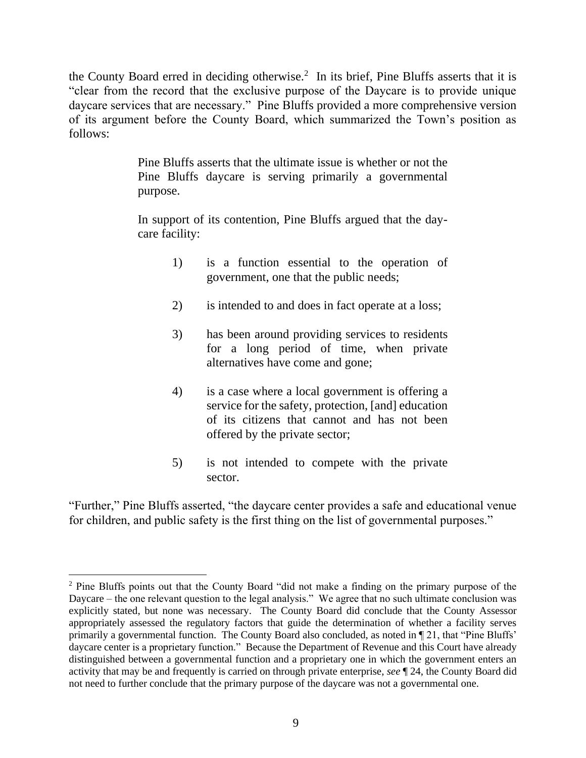the County Board erred in deciding otherwise.<sup>2</sup> In its brief, Pine Bluffs asserts that it is "clear from the record that the exclusive purpose of the Daycare is to provide unique daycare services that are necessary." Pine Bluffs provided a more comprehensive version of its argument before the County Board, which summarized the Town's position as follows:

> Pine Bluffs asserts that the ultimate issue is whether or not the Pine Bluffs daycare is serving primarily a governmental purpose.

> In support of its contention, Pine Bluffs argued that the daycare facility:

- 1) is a function essential to the operation of government, one that the public needs;
- 2) is intended to and does in fact operate at a loss;
- 3) has been around providing services to residents for a long period of time, when private alternatives have come and gone;
- 4) is a case where a local government is offering a service for the safety, protection, [and] education of its citizens that cannot and has not been offered by the private sector;
- 5) is not intended to compete with the private sector.

"Further," Pine Bluffs asserted, "the daycare center provides a safe and educational venue for children, and public safety is the first thing on the list of governmental purposes."

<sup>&</sup>lt;sup>2</sup> Pine Bluffs points out that the County Board "did not make a finding on the primary purpose of the Daycare – the one relevant question to the legal analysis." We agree that no such ultimate conclusion was explicitly stated, but none was necessary. The County Board did conclude that the County Assessor appropriately assessed the regulatory factors that guide the determination of whether a facility serves primarily a governmental function. The County Board also concluded, as noted in ¶ 21, that "Pine Bluffs' daycare center is a proprietary function." Because the Department of Revenue and this Court have already distinguished between a governmental function and a proprietary one in which the government enters an activity that may be and frequently is carried on through private enterprise, *see* ¶ 24, the County Board did not need to further conclude that the primary purpose of the daycare was not a governmental one.